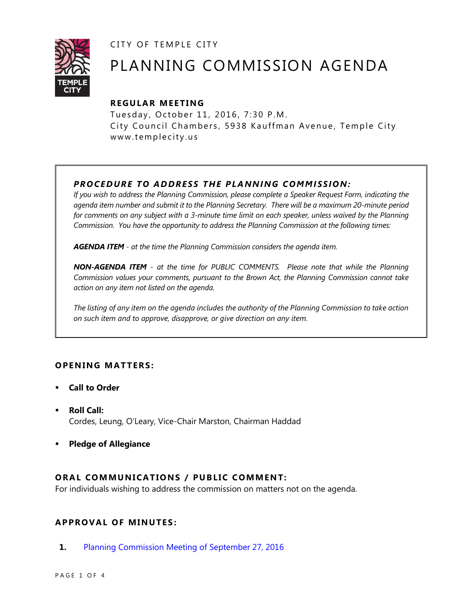CITY OF TEMPLE CITY



# PLANNING COMMISSION AGENDA

## **R EGULA R MEE TING**

Tuesday, October 11, 2016, 7:30 P.M. City Council Chambers, 5938 Kauffman Avenue, Temple City www.templecity.us

## *PRO CE DURE TO ADDRE SS THE P LA NNI NG COMM I SSION:*

*If you wish to address the Planning Commission, please complete a Speaker Request Form, indicating the agenda item number and submit it to the Planning Secretary. There will be a maximum 20-minute period*  for comments on any subject with a 3-minute time limit on each speaker, unless waived by the Planning *Commission. You have the opportunity to address the Planning Commission at the following times:*

*AGENDA ITEM - at the time the Planning Commission considers the agenda item.*

*NON-AGENDA ITEM - at the time for PUBLIC COMMENTS. Please note that while the Planning Commission values your comments, pursuant to the Brown Act, the Planning Commission cannot take action on any item not listed on the agenda.*

*The listing of any item on the agenda includes the authority of the Planning Commission to take action on such item and to approve, disapprove, or give direction on any item.*

## **OPENING MATTERS:**

- **Call to Order**
- **Roll Call:** Cordes, Leung, O'Leary, Vice-Chair Marston, Chairman Haddad
- **Pledge of Allegiance**

## **ORAL COMMUNICATIONS / PUBLIC COMMENT:**

For individuals wishing to address the commission on matters not on the agenda.

## **APPRO VAL OF MINUTES :**

**1.** [Planning Commission Meeting of September 27, 2016](http://ca-templecity.civicplus.com/DocumentCenter/View/6893)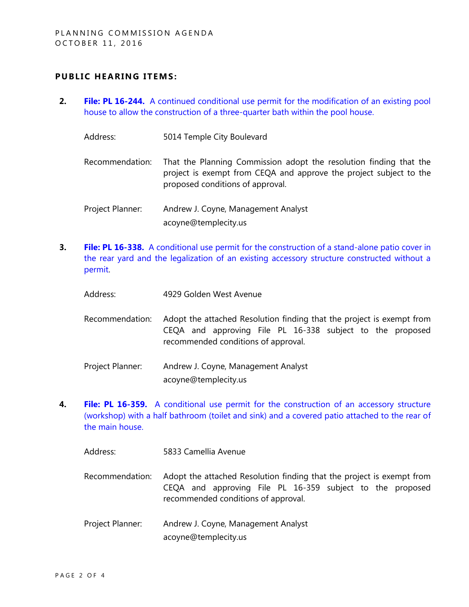#### **PUBLIC HEARING ITEMS:**

- **2. File: PL 16-244.** [A continued conditional use permit for the modification of an existing pool](http://ca-templecity.civicplus.com/DocumentCenter/View/6901)  [house to allow the construction of a three-quarter bath within the pool house.](http://ca-templecity.civicplus.com/DocumentCenter/View/6901)
	- Address: 5014 Temple City Boulevard
	- Recommendation: That the Planning Commission adopt the resolution finding that the project is exempt from CEQA and approve the project subject to the proposed conditions of approval.
	- Project Planner: Andrew J. Coyne, Management Analyst acoyne@templecity.us
- **3. File: PL 16-338.** [A conditional use permit for the construction of a stand-alone patio cover in](http://ca-templecity.civicplus.com/DocumentCenter/View/6896)  [the rear yard and the legalization of an existing accessory structure constructed without a](http://ca-templecity.civicplus.com/DocumentCenter/View/6896)  [permit.](http://ca-templecity.civicplus.com/DocumentCenter/View/6896)
	- Address: 4929 Golden West Avenue
	- Recommendation: Adopt the attached Resolution finding that the project is exempt from CEQA and approving File PL 16-338 subject to the proposed recommended conditions of approval.
	- Project Planner: Andrew J. Coyne, Management Analyst acoyne@templecity.us
- **4. File: PL 16-359.** [A conditional use permit for the construction of an accessory structure](http://ca-templecity.civicplus.com/DocumentCenter/View/6897)  [\(workshop\) with a half bathroom \(toilet and sink\) and a covered patio attached to the rear of](http://ca-templecity.civicplus.com/DocumentCenter/View/6897)  [the main house.](http://ca-templecity.civicplus.com/DocumentCenter/View/6897)
	- Address: 5833 Camellia Avenue
	- Recommendation: Adopt the attached Resolution finding that the project is exempt from CEQA and approving File PL 16-359 subject to the proposed recommended conditions of approval.
	- Project Planner: Andrew J. Coyne, Management Analyst acoyne@templecity.us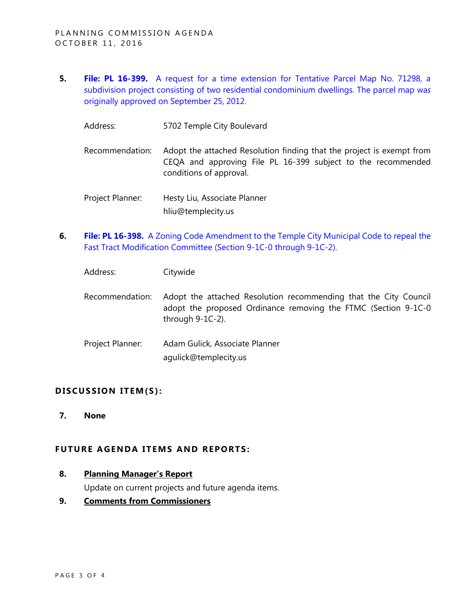- **5. File: PL 16-399.** [A request for a time extension for Tentative Parcel Map No. 71298, a](http://ca-templecity.civicplus.com/DocumentCenter/View/6894)  [subdivision project consisting of two residential condominium dwellings. The parcel map wa](http://ca-templecity.civicplus.com/DocumentCenter/View/6894)*s* [originally approved on September 25, 2012.](http://ca-templecity.civicplus.com/DocumentCenter/View/6894)
	- Address: 5702 Temple City Boulevard
	- Recommendation: Adopt the attached Resolution finding that the project is exempt from CEQA and approving File PL 16-399 subject to the recommended conditions of approval.
	- Project Planner: Hesty Liu, Associate Planner hliu@templecity.us
- **6. File: PL 16-398.** [A Zoning Code Amendment to the Temple City Municipal Code to repeal the](http://ca-templecity.civicplus.com/DocumentCenter/View/6898)  [Fast Tract Modification Committee \(Section 9-1C-0 through 9-1C-2\).](http://ca-templecity.civicplus.com/DocumentCenter/View/6898)
	- Address: Citywide
	- Recommendation: Adopt the attached Resolution recommending that the City Council adopt the proposed Ordinance removing the FTMC (Section 9-1C-0 through 9-1C-2).
	- Project Planner: Adam Gulick, Associate Planner agulick@templecity.us

#### DISCUSSION ITEM(S):

**7. None**

#### **FUTURE AGENDA ITEMS AND REPORTS:**

**8. Planning Manager's Report**

Update on current projects and future agenda items.

**9. Comments from Commissioners**